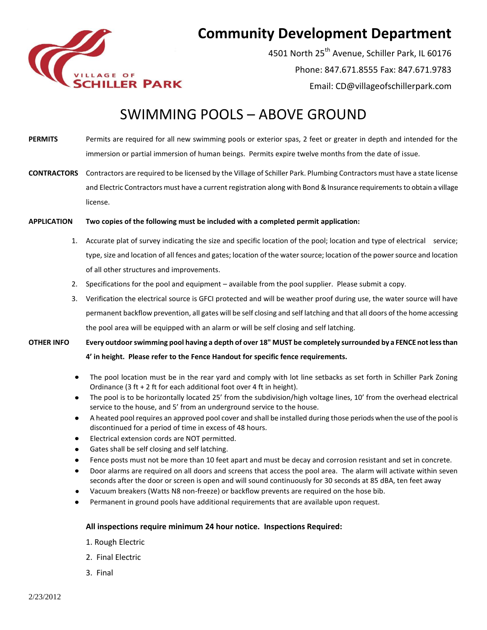

## **Community Development Department**

4501 North 25<sup>th</sup> Avenue, Schiller Park, IL 60176 Phone: 847.671.8555 Fax: 847.671.9783 Email: CD@villageofschillerpark.com

## SWIMMING POOLS – ABOVE GROUND

- PERMITS Permits are required for all new swimming pools or exterior spas, 2 feet or greater in depth and intended for the immersion or partial immersion of human beings. Permits expire twelve months from the date of issue.
- **CONTRACTORS** Contractors are required to be licensed by the Village of Schiller Park. Plumbing Contractors must have a state license and Electric Contractors must have a current registration along with Bond & Insurance requirements to obtain a village license.

## **APPLICATION Two copies of the following must be included with a completed permit application:**

- 1. Accurate plat of survey indicating the size and specific location of the pool; location and type of electrical service; type, size and location of all fences and gates; location of the water source; location of the power source and location of all other structures and improvements.
- 2. Specifications for the pool and equipment available from the pool supplier. Please submit a copy.
- 3. Verification the electrical source is GFCI protected and will be weather proof during use, the water source will have permanent backflow prevention, all gates will be self closing and self latching and that all doors of the home accessing the pool area will be equipped with an alarm or will be self closing and self latching.

**OTHER INFO Every outdoor swimming pool having a depth of over 18" MUST be completely surrounded by a FENCE not less than 4' in height. Please refer to the Fence Handout for specific fence requirements.**

- $\bullet$ The pool location must be in the rear yard and comply with lot line setbacks as set forth in Schiller Park Zoning Ordinance (3 ft + 2 ft for each additional foot over 4 ft in height).
- The pool is to be horizontally located 25' from the subdivision/high voltage lines, 10' from the overhead electrical  $\bullet$ service to the house, and 5' from an underground service to the house.
- A heated pool requires an approved pool cover and shall be installed during those periods when the use of the pool is  $\bullet$ discontinued for a period of time in excess of 48 hours.
- Electrical extension cords are NOT permitted.  $\bullet$
- Gates shall be self closing and self latching.
- Fence posts must not be more than 10 feet apart and must be decay and corrosion resistant and set in concrete.
- $\bullet$ Door alarms are required on all doors and screens that access the pool area. The alarm will activate within seven seconds after the door or screen is open and will sound continuously for 30 seconds at 85 dBA, ten feet away
- Vacuum breakers (Watts N8 non-freeze) or backflow prevents are required on the hose bib.
- Permanent in ground pools have additional requirements that are available upon request.

## **All inspections require minimum 24 hour notice. Inspections Required:**

- 1. Rough Electric
- 2. Final Electric
- 3. Final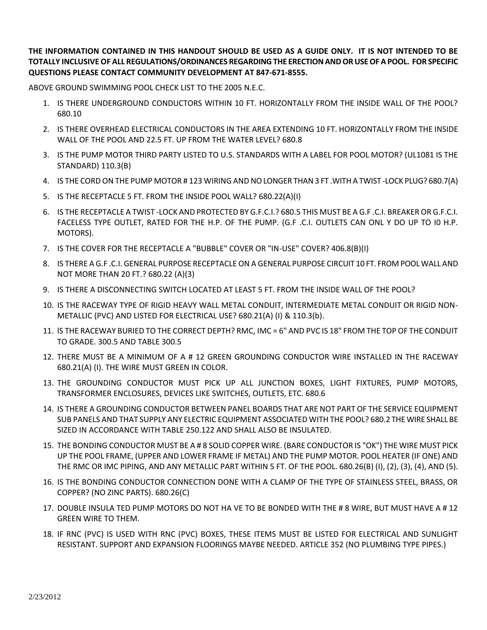**THE INFORMATION CONTAINED IN THIS HANDOUT SHOULD BE USED AS A GUIDE ONLY. IT IS NOT INTENDED TO BE TOTALLY INCLUSIVE OF ALL REGULATIONS/ORDINANCES REGARDING THE ERECTION AND OR USE OF A POOL. FOR SPECIFIC QUESTIONS PLEASE CONTACT COMMUNITY DEVELOPMENT AT 847-671-8555.**

ABOVE GROUND SWIMMING POOL CHECK LIST TO THE 2005 N.E.C.

- 1. IS THERE UNDERGROUND CONDUCTORS WITHIN 10 FT. HORIZONTALLY FROM THE INSIDE WALL OF THE POOL? 680.10
- 2. IS THERE OVERHEAD ELECTRICAL CONDUCTORS IN THE AREA EXTENDING 10 FT. HORIZONTALLY FROM THE INSIDE WALL OF THE POOL AND 22.5 FT. UP FROM THE WATER LEVEL? 680.8
- 3. IS THE PUMP MOTOR THIRD PARTY LISTED TO U.S. STANDARDS WITH A LABEL FOR POOL MOTOR? (UL1081 IS THE STANDARD) 110.3(B)
- 4. IS THE CORD ON THE PUMP MOTOR # 123 WIRING AND NO LONGER THAN 3 FT .WITH A TWIST -LOCK PLUG? 680.7(A)
- 5. IS THE RECEPTACLE 5 FT. FROM THE INSIDE POOL WALL? 680.22(A)(I)
- 6. IS THE RECEPTACLE A TWIST -LOCK AND PROTECTED BY G.F.C.I.? 680.5 THIS MUST BE A G.F .C.I. BREAKER OR G.F.C.I. FACELESS TYPE OUTLET, RATED FOR THE H.P. OF THE PUMP. (G.F .C.I. OUTLETS CAN ONL Y DO UP TO I0 H.P. MOTORS).
- 7. IS THE COVER FOR THE RECEPTACLE A "BUBBLE" COVER OR "IN-USE" COVER? 406.8(B)(I)
- 8. IS THERE A G.F .C.I. GENERAL PURPOSE RECEPTACLE ON A GENERAL PURPOSE CIRCUIT 10 FT. FROM POOL WALL AND NOT MORE THAN 20 FT.? 680.22 (A)(3)
- 9. IS THERE A DISCONNECTING SWITCH LOCATED AT LEAST 5 FT. FROM THE INSIDE WALL OF THE POOL?
- 10. IS THE RACEWAY TYPE OF RIGID HEAVY WALL METAL CONDUIT, INTERMEDIATE METAL CONDUIT OR RIGID NON-METALLIC (PVC) AND LISTED FOR ELECTRICAL USE? 680.21(A) (I) & 110.3(b).
- 11. lS THE RACEWAY BURIED TO THE CORRECT DEPTH? RMC, IMC = 6" AND PVC IS 18" FROM THE TOP OF THE CONDUIT TO GRADE. 300.5 AND TABLE 300.5
- 12. THERE MUST BE A MINIMUM OF A # 12 GREEN GROUNDING CONDUCTOR WIRE INSTALLED IN THE RACEWAY 680.21(A) (I). THE WIRE MUST GREEN IN COLOR.
- 13. THE GROUNDING CONDUCTOR MUST PICK UP ALL JUNCTION BOXES, LIGHT FIXTURES, PUMP MOTORS, TRANSFORMER ENCLOSURES, DEVICES LIKE SWITCHES, OUTLETS, ETC. 680.6
- 14. IS THERE A GROUNDING CONDUCTOR BETWEEN PANEL BOARDS THAT ARE NOT PART OF THE SERVICE EQUIPMENT SUB PANELS AND THAT SUPPLY ANY ELECTRIC EQUIPMENT ASSOCIATED WITH THE POOL? 680.2 THE WIRE SHALL BE SIZED IN ACCORDANCE WITH TABLE 250.122 AND SHALL ALSO BE INSULATED.
- 15. THE BONDING CONDUCTOR MUST BE A # 8 SOLID COPPER WIRE. (BARE CONDUCTOR IS "OK") THE WIRE MUST PICK UP THE POOL FRAME, (UPPER AND LOWER FRAME IF METAL) AND THE PUMP MOTOR. POOL HEATER (IF ONE) AND THE RMC OR IMC PIPING, AND ANY METALLIC PART WITHIN 5 FT. OF THE POOL. 680.26(B) (I), (2), (3), (4), AND (5).
- 16. IS THE BONDING CONDUCTOR CONNECTION DONE WITH A CLAMP OF THE TYPE OF STAINLESS STEEL, BRASS, OR COPPER? (NO ZINC PARTS). 680.26(C)
- 17. DOUBLE INSULA TED PUMP MOTORS DO NOT HA VE TO BE BONDED WITH THE # 8 WIRE, BUT MUST HAVE A # 12 GREEN WIRE TO THEM.
- 18. IF RNC (PVC) IS USED WITH RNC (PVC) BOXES, THESE ITEMS MUST BE LISTED FOR ELECTRICAL AND SUNLIGHT RESISTANT. SUPPORT AND EXPANSION FLOORINGS MAYBE NEEDED. ARTICLE 352 (NO PLUMBING TYPE PIPES.)